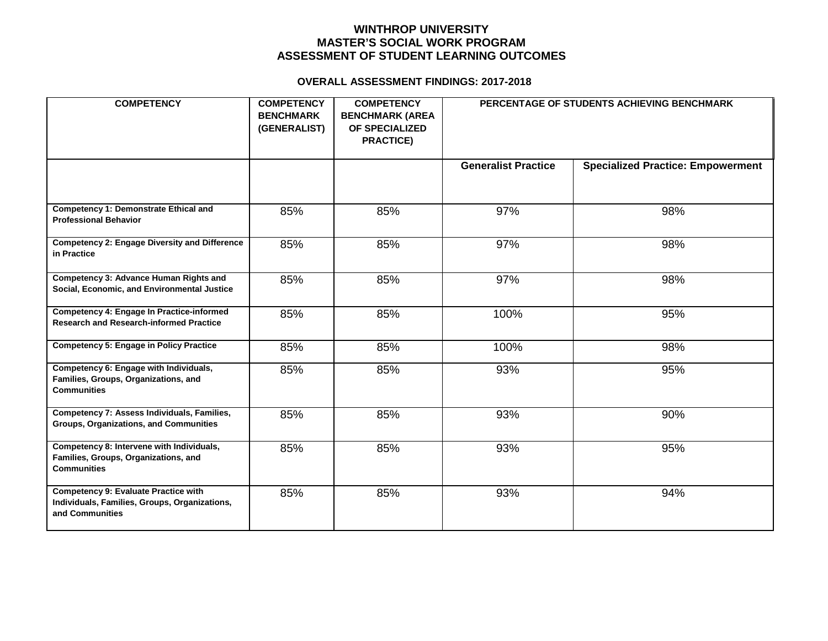## **WINTHROP UNIVERSITY MASTER'S SOCIAL WORK PROGRAM ASSESSMENT OF STUDENT LEARNING OUTCOMES**

#### **OVERALL ASSESSMENT FINDINGS: 2017-2018**

| <b>COMPETENCY</b>                                                                                               | <b>COMPETENCY</b><br><b>BENCHMARK</b><br>(GENERALIST) | <b>COMPETENCY</b><br><b>BENCHMARK (AREA</b><br>OF SPECIALIZED<br><b>PRACTICE)</b> | PERCENTAGE OF STUDENTS ACHIEVING BENCHMARK |                                          |  |  |
|-----------------------------------------------------------------------------------------------------------------|-------------------------------------------------------|-----------------------------------------------------------------------------------|--------------------------------------------|------------------------------------------|--|--|
|                                                                                                                 |                                                       |                                                                                   | <b>Generalist Practice</b>                 | <b>Specialized Practice: Empowerment</b> |  |  |
| <b>Competency 1: Demonstrate Ethical and</b><br><b>Professional Behavior</b>                                    | 85%                                                   | 85%                                                                               | 97%                                        | 98%                                      |  |  |
| <b>Competency 2: Engage Diversity and Difference</b><br>in Practice                                             | 85%                                                   | 85%                                                                               | 97%                                        | 98%                                      |  |  |
| Competency 3: Advance Human Rights and<br>Social, Economic, and Environmental Justice                           | 85%                                                   | 85%                                                                               | 97%                                        | 98%                                      |  |  |
| Competency 4: Engage In Practice-informed<br><b>Research and Research-informed Practice</b>                     | 85%                                                   | 85%                                                                               | 100%                                       | 95%                                      |  |  |
| <b>Competency 5: Engage in Policy Practice</b>                                                                  | 85%                                                   | 85%                                                                               | 100%                                       | 98%                                      |  |  |
| Competency 6: Engage with Individuals,<br>Families, Groups, Organizations, and<br><b>Communities</b>            | 85%                                                   | 85%                                                                               | 93%                                        | 95%                                      |  |  |
| Competency 7: Assess Individuals, Families,<br>Groups, Organizations, and Communities                           | 85%                                                   | 85%                                                                               | 93%                                        | 90%                                      |  |  |
| Competency 8: Intervene with Individuals,<br>Families, Groups, Organizations, and<br><b>Communities</b>         | 85%                                                   | 85%                                                                               | 93%                                        | 95%                                      |  |  |
| <b>Competency 9: Evaluate Practice with</b><br>Individuals, Families, Groups, Organizations,<br>and Communities | 85%                                                   | 85%                                                                               | 93%                                        | 94%                                      |  |  |